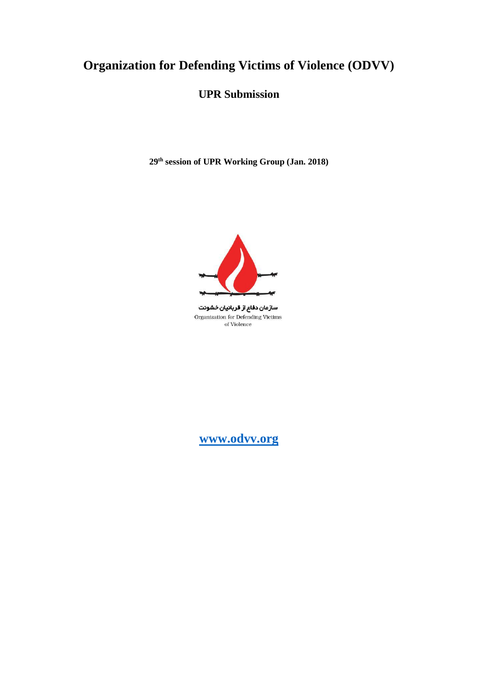# **Organization for Defending Victims of Violence (ODVV)**

# **UPR Submission**

**29th session of UPR Working Group (Jan. 2018)**



سازمان دفاع از قربانیان خشونت Organization for Defending Victims of Violence

**[www.odvv.org](http://www.odvv.org/)**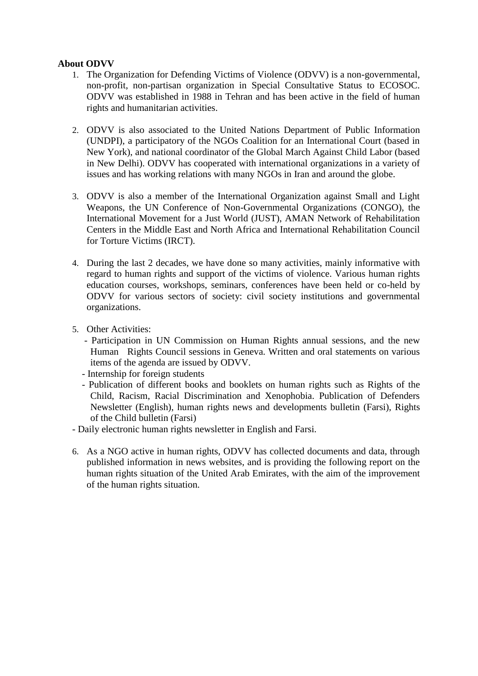#### **About ODVV**

- 1. The Organization for Defending Victims of Violence (ODVV) is a non-governmental, non-profit, non-partisan organization in Special Consultative Status to ECOSOC. ODVV was established in 1988 in Tehran and has been active in the field of human rights and humanitarian activities.
- 2. ODVV is also associated to the United Nations Department of Public Information (UNDPI), a participatory of the NGOs Coalition for an International Court (based in New York), and national coordinator of the Global March Against Child Labor (based in New Delhi). ODVV has cooperated with international organizations in a variety of issues and has working relations with many NGOs in Iran and around the globe.
- 3. ODVV is also a member of the International Organization against Small and Light Weapons, the UN Conference of Non-Governmental Organizations (CONGO), the International Movement for a Just World (JUST), AMAN Network of Rehabilitation Centers in the Middle East and North Africa and International Rehabilitation Council for Torture Victims (IRCT).
- 4. During the last 2 decades, we have done so many activities, mainly informative with regard to human rights and support of the victims of violence. Various human rights education courses, workshops, seminars, conferences have been held or co-held by ODVV for various sectors of society: civil society institutions and governmental organizations.
- 5. Other Activities:
	- Participation in UN Commission on Human Rights annual sessions, and the new Human Rights Council sessions in Geneva. Written and oral statements on various items of the agenda are issued by ODVV.
	- Internship for foreign students
	- Publication of different books and booklets on human rights such as Rights of the Child, Racism, Racial Discrimination and Xenophobia. Publication of Defenders Newsletter (English), human rights news and developments bulletin (Farsi), Rights of the Child bulletin (Farsi)
- Daily electronic human rights newsletter in English and Farsi.
- 6. As a NGO active in human rights, ODVV has collected documents and data, through published information in news websites, and is providing the following report on the human rights situation of the United Arab Emirates, with the aim of the improvement of the human rights situation.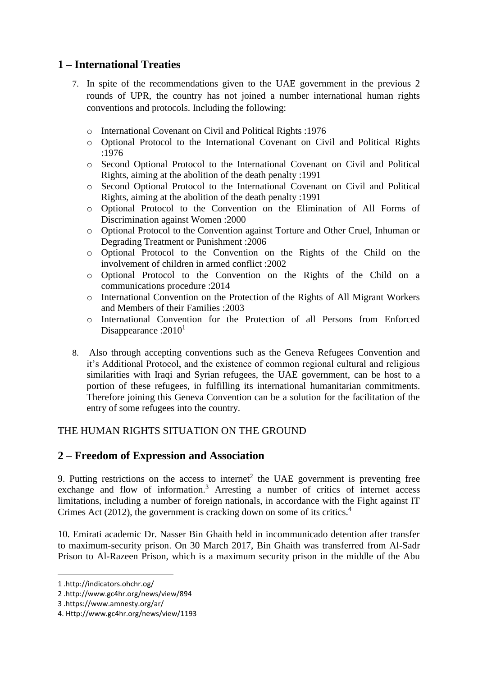## **1 – International Treaties**

- 7. In spite of the recommendations given to the UAE government in the previous 2 rounds of UPR, the country has not joined a number international human rights conventions and protocols. Including the following:
	- o International Covenant on Civil and Political Rights :1976
	- o Optional Protocol to the International Covenant on Civil and Political Rights :1976
	- o Second Optional Protocol to the International Covenant on Civil and Political Rights, aiming at the abolition of the death penalty :1991
	- o Second Optional Protocol to the International Covenant on Civil and Political Rights, aiming at the abolition of the death penalty :1991
	- o Optional Protocol to the Convention on the Elimination of All Forms of Discrimination against Women :2000
	- o Optional Protocol to the Convention against Torture and Other Cruel, Inhuman or Degrading Treatment or Punishment :2006
	- o Optional Protocol to the Convention on the Rights of the Child on the involvement of children in armed conflict :2002
	- o Optional Protocol to the Convention on the Rights of the Child on a communications procedure :2014
	- o International Convention on the Protection of the Rights of All Migrant Workers and Members of their Families :2003
	- o International Convention for the Protection of all Persons from Enforced Disappearance :  $2010<sup>1</sup>$
- 8. Also through accepting conventions such as the Geneva Refugees Convention and it's Additional Protocol, and the existence of common regional cultural and religious similarities with Iraqi and Syrian refugees, the UAE government, can be host to a portion of these refugees, in fulfilling its international humanitarian commitments. Therefore joining this Geneva Convention can be a solution for the facilitation of the entry of some refugees into the country.

#### THE HUMAN RIGHTS SITUATION ON THE GROUND

#### **2 – Freedom of Expression and Association**

9. Putting restrictions on the access to internet<sup>2</sup> the UAE government is preventing free exchange and flow of information.<sup>3</sup> Arresting a number of critics of internet access limitations, including a number of foreign nationals, in accordance with the Fight against IT Crimes Act (2012), the government is cracking down on some of its critics.<sup>4</sup>

10. Emirati academic Dr. Nasser Bin Ghaith held in incommunicado detention after transfer to maximum-security prison. On 30 March 2017, Bin Ghaith was transferred from Al-Sadr Prison to Al-Razeen Prison, which is a maximum security prison in the middle of the Abu

1

<sup>1</sup> .http://indicators.ohchr.og/

<sup>2</sup> .http://www.gc4hr.org/news/view/894

<sup>3</sup> .https://www.amnesty.org/ar/

<sup>4.</sup> Http://www.gc4hr.org/news/view/1193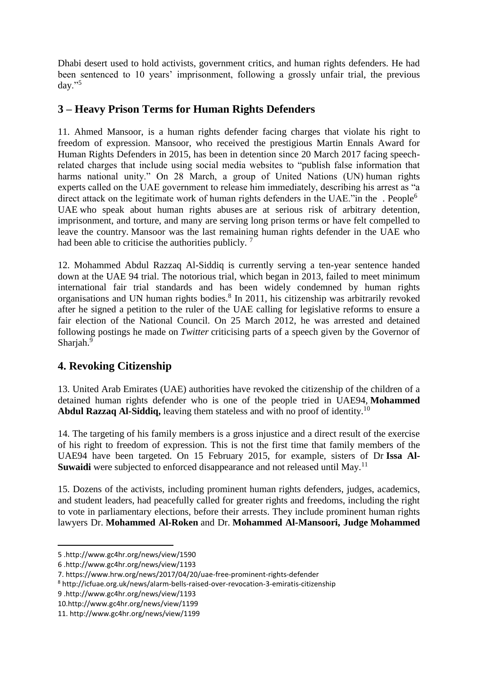Dhabi desert used to hold activists, government critics, and human rights defenders. He had been sentenced to 10 years' imprisonment, following a grossly unfair trial, the previous  $\langle$  day."<sup>5</sup>

#### **3 – Heavy Prison Terms for Human Rights Defenders**

11. Ahmed Mansoor, is a human rights defender facing charges that violate his right to freedom of expression. Mansoor, who received the prestigious Martin Ennals Award for Human Rights Defenders in 2015, has been in detention since 20 March 2017 facing speechrelated charges that include using social media websites to "publish false information that harms national unity." On 28 March, a group of United Nations (UN) [human rights](http://www.ohchr.org/EN/NewsEvents/Pages/DisplayNews.aspx?NewsID=21449&LangID=E)  [experts](http://www.ohchr.org/EN/NewsEvents/Pages/DisplayNews.aspx?NewsID=21449&LangID=E) called on the UAE government to release him immediately, describing his arrest as "a direct attack on the legitimate work of human rights defenders in the UAE."in the  $\cdot$  People<sup>6</sup> UAE [who speak about human rights abuses](https://www.amnesty.org/en/documents/mde25/0018/2014/en/) are at serious risk of arbitrary detention, imprisonment, and torture, and many are [serving long prison terms](http://www.gc4hr.org/news/view/1193) or have felt compelled to leave the country. Mansoor was the last remaining human rights defender in the UAE who had been able to criticise the authorities publicly.<sup>7</sup>

12. Mohammed Abdul Razzaq Al-Siddiq is currently serving a ten-year sentence handed down at the UAE 94 trial. The notorious trial, which began in 2013, failed to meet minimum international fair trial standards and has been widely condemned by human rights organisations and UN human rights bodies.<sup>8</sup> In 2011, his citizenship was arbitrarily revoked after he signed a petition to the ruler of the UAE calling for legislative reforms to ensure a fair election of the National Council. On 25 March 2012, he was arrested and detained following postings he made on *Twitter* criticising parts of a speech given by the Governor of Sharjah.<sup>9</sup>

# **4. Revoking Citizenship**

13. United Arab Emirates (UAE) authorities have revoked the citizenship of the children of a detained human rights defender who is one of the people tried in UAE94, **Mohammed Abdul Razzaq Al-Siddiq,** leaving them stateless and with no proof of identity.<sup>10</sup>

14. The targeting of his family members is a gross injustice and a direct result of the exercise of his right to freedom of expression. This is not the first time that family members of the UAE94 have been targeted. On 15 February 2015, for example, sisters of Dr **Issa Al-Suwaidi** were subjected to enforced disappearance and not released until May.<sup>11</sup>

15. Dozens of the activists, including prominent human rights defenders, judges, academics, and student leaders, had peacefully called for greater rights and freedoms, including the right to vote in parliamentary elections, before their arrests. They include prominent human rights lawyers Dr. **Mohammed Al-Roken** and Dr. **Mohammed Al-Mansoori, Judge Mohammed** 

<sup>5</sup> .http://www.gc4hr.org/news/view/1590

<sup>6</sup> .http://www.gc4hr.org/news/view/1193

<sup>7.</sup> https://www.hrw.org/news/2017/04/20/uae-free-prominent-rights-defender

<sup>8</sup> http://icfuae.org.uk/news/alarm-bells-raised-over-revocation-3-emiratis-citizenship

<sup>9</sup> .http://www.gc4hr.org/news/view/1193

<sup>10.</sup>http://www.gc4hr.org/news/view/1199

<sup>11.</sup> http://www.gc4hr.org/news/view/1199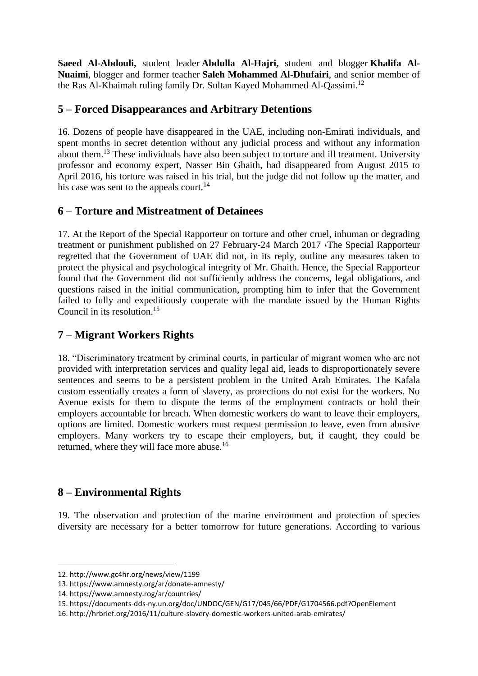**Saeed Al-Abdouli,** student leader **Abdulla Al-Hajri,** student and blogger **Khalifa Al-Nuaimi**, blogger and former teacher **Saleh Mohammed Al-Dhufairi**, and senior member of the Ras Al-Khaimah ruling family Dr. Sultan Kayed Mohammed Al-Qassimi.<sup>12</sup>

## **5 – Forced Disappearances and Arbitrary Detentions**

16. Dozens of people have disappeared in the UAE, including non-Emirati individuals, and spent months in secret detention without any judicial process and without any information about them.<sup>13</sup> These individuals have also been subject to torture and ill treatment. University professor and economy expert, Nasser Bin Ghaith, had disappeared from August 2015 to April 2016, his torture was raised in his trial, but the judge did not follow up the matter, and his case was sent to the appeals court.<sup>14</sup>

# **6 – Torture and Mistreatment of Detainees**

17. At the Report of the Special Rapporteur on torture and other cruel, inhuman or degrading treatment or punishment published on 27 February-24 March 2017 ،The Special Rapporteur regretted that the Government of UAE did not, in its reply, outline any measures taken to protect the physical and psychological integrity of Mr. Ghaith. Hence, the Special Rapporteur found that the Government did not sufficiently address the concerns, legal obligations, and questions raised in the initial communication, prompting him to infer that the Government failed to fully and expeditiously cooperate with the mandate issued by the Human Rights Council in its resolution.<sup>15</sup>

# **7 – Migrant Workers Rights**

18. "Discriminatory treatment by criminal courts, in particular of migrant women who are not provided with interpretation services and quality legal aid, leads to disproportionately severe sentences and seems to be a persistent problem in the United Arab Emirates. The Kafala custom essentially creates a form of slavery, as protections do not exist for the workers. No Avenue exists for them to dispute the terms of the employment contracts or hold their employers accountable for breach. When domestic workers do want to leave their employers, options are limited. Domestic workers must request permission to leave, even from abusive employers. Many workers try to escape their employers, but, if caught, they could be returned, where they will face more abuse.<sup>16</sup>

# **8 – Environmental Rights**

19. The observation and protection of the marine environment and protection of species diversity are necessary for a better tomorrow for future generations. According to various

<sup>12.</sup> http://www.gc4hr.org/news/view/1199

<sup>13.</sup> https://www.amnesty.org/ar/donate-amnesty/

<sup>14.</sup> https://www.amnesty.rog/ar/countries/

<sup>15.</sup> https://documents-dds-ny.un.org/doc/UNDOC/GEN/G17/045/66/PDF/G1704566.pdf?OpenElement

<sup>16.</sup> http://hrbrief.org/2016/11/culture-slavery-domestic-workers-united-arab-emirates/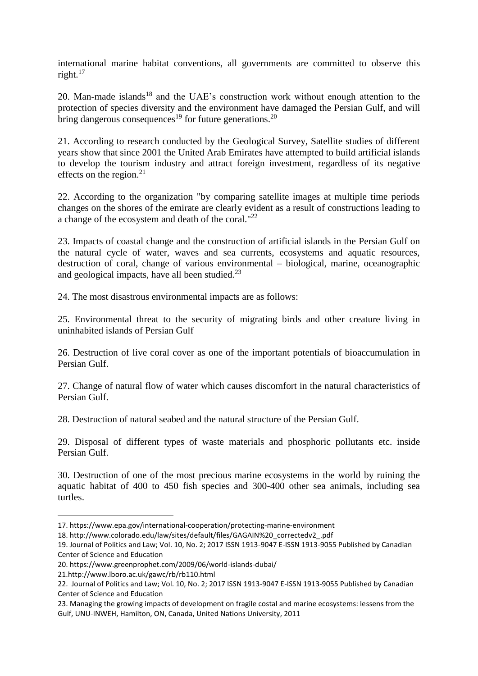international marine habitat conventions, all governments are committed to observe this right. $17$ 

20. Man-made islands<sup>18</sup> and the UAE's construction work without enough attention to the protection of species diversity and the environment have damaged the Persian Gulf, and will bring dangerous consequences<sup>19</sup> for future generations.<sup>20</sup>

21. According to research conducted by the Geological Survey, Satellite studies of different years show that since 2001 the United Arab Emirates have attempted to build artificial islands to develop the tourism industry and attract foreign investment, regardless of its negative effects on the region. $2<sup>1</sup>$ 

22. According to the organization "by comparing satellite images at multiple time periods changes on the shores of the emirate are clearly evident as a result of constructions leading to a change of the ecosystem and death of the coral."<sup>22</sup>

23. Impacts of coastal change and the construction of artificial islands in the Persian Gulf on the natural cycle of water, waves and sea currents, ecosystems and aquatic resources, destruction of coral, change of various environmental – biological, marine, oceanographic and geological impacts, have all been studied. $^{23}$ 

24. The most disastrous environmental impacts are as follows:

25. Environmental threat to the security of migrating birds and other creature living in uninhabited islands of Persian Gulf

26. Destruction of live coral cover as one of the important potentials of bioaccumulation in Persian Gulf.

27. Change of natural flow of water which causes discomfort in the natural characteristics of Persian Gulf.

28. Destruction of natural seabed and the natural structure of the Persian Gulf.

29. Disposal of different types of waste materials and phosphoric pollutants etc. inside Persian Gulf.

30. Destruction of one of the most precious marine ecosystems in the world by ruining the aquatic habitat of 400 to 450 fish species and 300-400 other sea animals, including sea turtles.

<sup>17.</sup> https://www.epa.gov/international-cooperation/protecting-marine-environment

<sup>18.</sup> http://www.colorado.edu/law/sites/default/files/GAGAIN%20\_correctedv2\_.pdf

<sup>19.</sup> Journal of Politics and Law; Vol. 10, No. 2; 2017 ISSN 1913-9047 E-ISSN 1913-9055 Published by Canadian Center of Science and Education

<sup>20.</sup> https://www.greenprophet.com/2009/06/world-islands-dubai/

<sup>21.</sup>http://www.lboro.ac.uk/gawc/rb/rb110.html

<sup>22.</sup> Journal of Politics and Law; Vol. 10, No. 2; 2017 ISSN 1913-9047 E-ISSN 1913-9055 Published by Canadian Center of Science and Education

<sup>23.</sup> Managing the growing impacts of development on fragile costal and marine ecosystems: lessens from the Gulf, UNU-INWEH, Hamilton, ON, Canada, United Nations University, 2011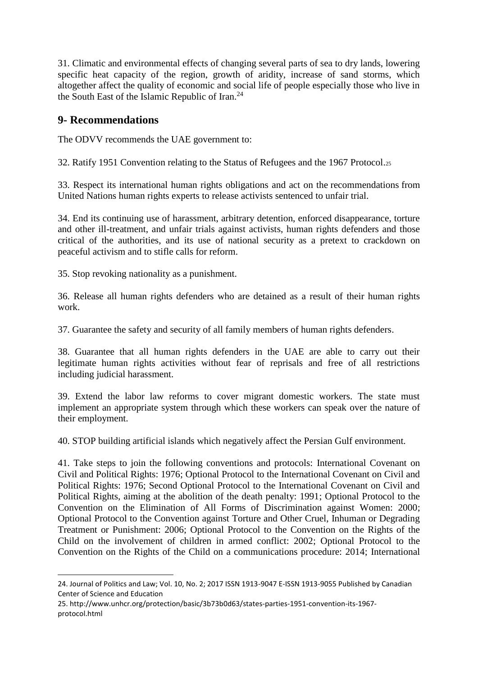31. Climatic and environmental effects of changing several parts of sea to dry lands, lowering specific heat capacity of the region, growth of aridity, increase of sand storms, which altogether affect the quality of economic and social life of people especially those who live in the South East of the Islamic Republic of Iran.<sup>24</sup>

#### **9- Recommendations**

1

The ODVV recommends the UAE government to:

32. Ratify 1951 Convention relating to the Status of Refugees and the 1967 Protocol.<sup>25</sup>

33. Respect its international human rights obligations and act on the [recommendations](http://daccess-dds-ny.un.org/doc/UNDOC/GEN/G14/131/83/PDF/G1413183.pdf?OpenElement) from United Nations human rights experts to release activists sentenced to unfair trial.

34. End its continuing use of harassment, arbitrary detention, enforced disappearance, torture and other ill-treatment, and unfair trials against activists, human rights defenders and those critical of the authorities, and its use of national security as a pretext to crackdown on peaceful activism and to stifle calls for reform.

35. Stop revoking nationality as a punishment.

36. Release all human rights defenders who are detained as a result of their human rights work.

37. Guarantee the safety and security of all family members of human rights defenders.

38. Guarantee that all human rights defenders in the UAE are able to carry out their legitimate human rights activities without fear of reprisals and free of all restrictions including judicial harassment.

39. Extend the labor law reforms to cover migrant domestic workers. The state must implement an appropriate system through which these workers can speak over the nature of their employment.

40. STOP building artificial islands which negatively affect the Persian Gulf environment.

41. Take steps to join the following conventions and protocols: International Covenant on Civil and Political Rights: 1976; Optional Protocol to the International Covenant on Civil and Political Rights: 1976; Second Optional Protocol to the International Covenant on Civil and Political Rights, aiming at the abolition of the death penalty: 1991; Optional Protocol to the Convention on the Elimination of All Forms of Discrimination against Women: 2000; Optional Protocol to the Convention against Torture and Other Cruel, Inhuman or Degrading Treatment or Punishment: 2006; Optional Protocol to the Convention on the Rights of the Child on the involvement of children in armed conflict: 2002; Optional Protocol to the Convention on the Rights of the Child on a communications procedure: 2014; International

<sup>24.</sup> Journal of Politics and Law; Vol. 10, No. 2; 2017 ISSN 1913-9047 E-ISSN 1913-9055 Published by Canadian Center of Science and Education

<sup>25.</sup> http://www.unhcr.org/protection/basic/3b73b0d63/states-parties-1951-convention-its-1967 protocol.html